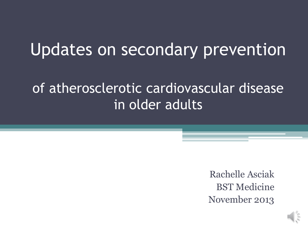### Updates on secondary prevention

### of atherosclerotic cardiovascular disease in older adults

Rachelle Asciak BST Medicine November 2013

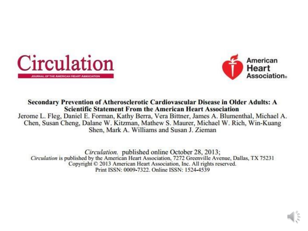



Secondary Prevention of Atherosclerotic Cardiovascular Disease in Older Adults: A **Scientific Statement From the American Heart Association** 

Jerome L. Fleg, Daniel E. Forman, Kathy Berra, Vera Bittner, James A. Blumenthal, Michael A. Chen, Susan Cheng, Dalane W. Kitzman, Mathew S. Maurer, Michael W. Rich, Win-Kuang Shen, Mark A. Williams and Susan J. Zieman

Circulation. published online October 28, 2013; Circulation is published by the American Heart Association, 7272 Greenville Avenue, Dallas, TX 75231 Copyright © 2013 American Heart Association, Inc. All rights reserved. Print ISSN: 0009-7322. Online ISSN: 1524-4539

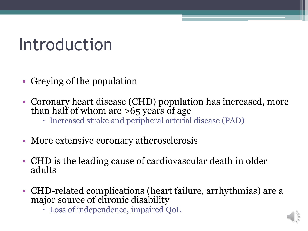### Introduction

- Greying of the population
- Coronary heart disease (CHD) population has increased, more than half of whom are  $>65$  years of age
	- Increased stroke and peripheral arterial disease (PAD)
- More extensive coronary atherosclerosis
- CHD is the leading cause of cardiovascular death in older adults
- CHD-related complications (heart failure, arrhythmias) are a major source of chronic disability
	- Loss of independence, impaired QoL

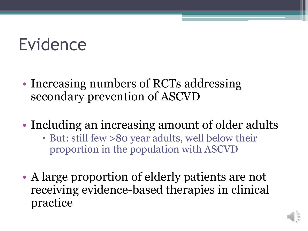### Evidence

- Increasing numbers of RCTs addressing secondary prevention of ASCVD
- Including an increasing amount of older adults
	- But: still few >80 year adults, well below their proportion in the population with ASCVD
- A large proportion of elderly patients are not receiving evidence-based therapies in clinical practice

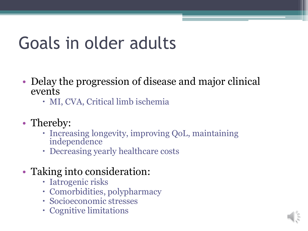### Goals in older adults

- Delay the progression of disease and major clinical events
	- MI, CVA, Critical limb ischemia
- Thereby:
	- Increasing longevity, improving QoL, maintaining independence
	- Decreasing yearly healthcare costs
- Taking into consideration:
	- Iatrogenic risks
	- Comorbidities, polypharmacy
	- Socioeconomic stresses
	- Cognitive limitations

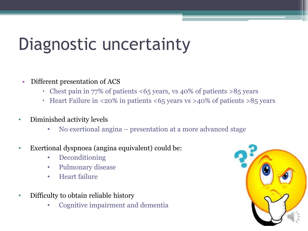### Diagnostic uncertainty

- Different presentation of ACS
	- Chest pain in 77% of patients <65 years, vs 40% of patients >85 years
	- Heart Failure in <20% in patients <65 years vs >40% of patients >85 years
- Diminished activity levels
	- No exertional angina presentation at a more advanced stage
- Exertional dyspnoea (angina equivalent) could be:
	- Deconditioning
	- Pulmonary disease
	- Heart failure
- Difficulty to obtain reliable history
	- Cognitive impairment and dementia

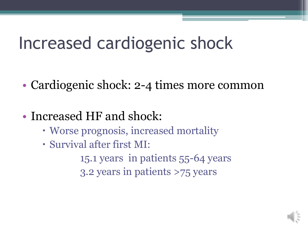### Increased cardiogenic shock

- Cardiogenic shock: 2-4 times more common
- Increased HF and shock:
	- Worse prognosis, increased mortality
	- Survival after first MI:
		- 15.1 years in patients 55-64 years
		- 3.2 years in patients >75 years

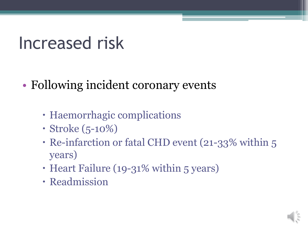### Increased risk

- Following incident coronary events
	- Haemorrhagic complications
	- Stroke (5-10%)
	- Re-infarction or fatal CHD event (21-33% within 5 years)
	- Heart Failure (19-31% within 5 years)
	- Readmission

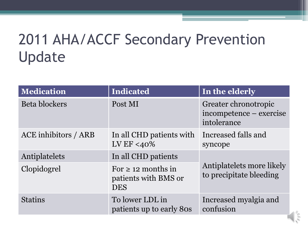### 2011 AHA/ACCF Secondary Prevention Update

| <b>Medication</b>    | Indicated                                                     | In the elderly                                                 |  |
|----------------------|---------------------------------------------------------------|----------------------------------------------------------------|--|
| <b>Beta blockers</b> | Post MI                                                       | Greater chronotropic<br>incompetence – exercise<br>intolerance |  |
| ACE inhibitors / ARB | In all CHD patients with<br>LV EF <40%                        | Increased falls and<br>syncope                                 |  |
| Antiplatelets        | In all CHD patients                                           |                                                                |  |
| Clopidogrel          | For $\geq$ 12 months in<br>patients with BMS or<br><b>DES</b> | Antiplatelets more likely<br>to precipitate bleeding           |  |
| <b>Statins</b>       | To lower LDL in<br>patients up to early 80s                   | Increased myalgia and<br>confusion                             |  |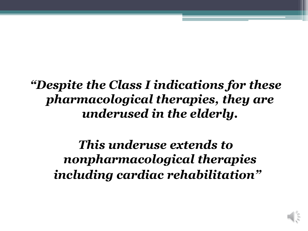### *"Despite the Class I indications for these pharmacological therapies, they are underused in the elderly.*

*This underuse extends to nonpharmacological therapies including cardiac rehabilitation"*

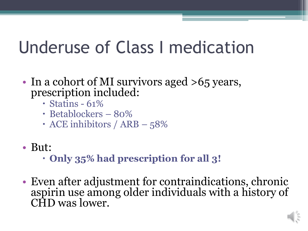### Underuse of Class I medication

- In a cohort of MI survivors aged >65 years, prescription included:
	- $\cdot$  Statins 61%
	- Betablockers 80%
	- $\cdot$  ACE inhibitors / ARB 58%
- But:
	- **Only 35% had prescription for all 3!**
- Even after adjustment for contraindications, chronic aspirin use among older individuals with a history of CHD was lower.

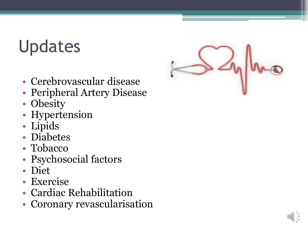## Updates



- Cerebrovascular disease
- Peripheral Artery Disease
- Obesity
- Hypertension
- Lipids
- Diabetes
- Tobacco
- Psychosocial factors
- Diet
- Exercise
- Cardiac Rehabilitation
- Coronary revascularisation

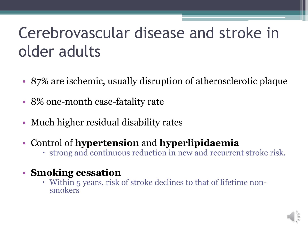### Cerebrovascular disease and stroke in older adults

- 87% are ischemic, usually disruption of atherosclerotic plaque
- 8% one-month case-fatality rate
- Much higher residual disability rates
- Control of **hypertension** and **hyperlipidaemia**
	- strong and continuous reduction in new and recurrent stroke risk.
- **Smoking cessation**
	- Within 5 years, risk of stroke declines to that of lifetime nonsmokers

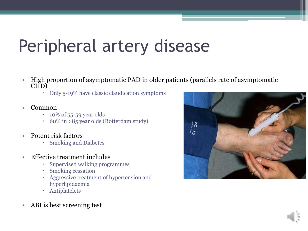### Peripheral artery disease

- High proportion of asymptomatic PAD in older patients (parallels rate of asymptomatic CHD)
	- Only 5-19% have classic claudication symptoms
- Common
	- $\cdot$  10% of 55-59 year olds
	- 60% in >85 year olds (Rotterdam study)
- Potent risk factors
	- Smoking and Diabetes
- Effective treatment includes
	- Supervised walking programmes
	- Smoking cessation
	- Aggressive treatment of hypertension and hyperlipidaemia
	- Antiplatelets
- ABI is best screening test



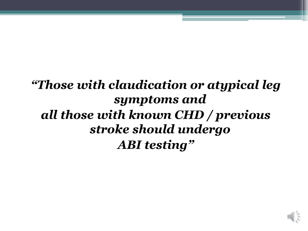### *"Those with claudication or atypical leg symptoms and all those with known CHD / previous stroke should undergo ABI testing"*

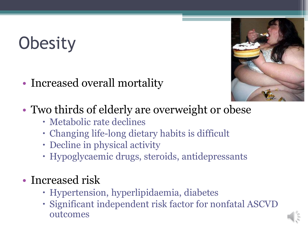# **Obesity**

• Increased overall mortality



- Two thirds of elderly are overweight or obese
	- Metabolic rate declines
	- Changing life-long dietary habits is difficult
	- Decline in physical activity
	- Hypoglycaemic drugs, steroids, antidepressants

### • Increased risk

- Hypertension, hyperlipidaemia, diabetes
- Significant independent risk factor for nonfatal ASCVD outcomes

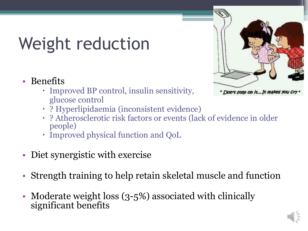# Weight reduction

- Benefits
	- Improved BP control, insulin sensitivity, glucose control



- ? Hyperlipidaemia (inconsistent evidence)
- ? Atherosclerotic risk factors or events (lack of evidence in older people)
- Improved physical function and QoL
- Diet synergistic with exercise
- Strength training to help retain skeletal muscle and function
- Moderate weight loss (3-5%) associated with clinically significant benefits

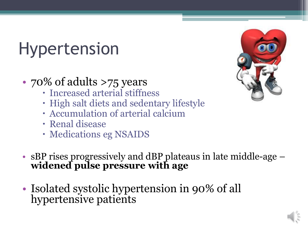## Hypertension

### • 70% of adults >75 years

- Increased arterial stiffness
- High salt diets and sedentary lifestyle
- Accumulation of arterial calcium
- Renal disease
- Medications eg NSAIDS
- sBP rises progressively and dBP plateaus in late middle-age **widened pulse pressure with age**
- Isolated systolic hypertension in 90% of all hypertensive patients



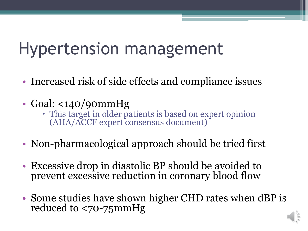### Hypertension management

- Increased risk of side effects and compliance issues
- Goal: <140/90mmHg
	- This target in older patients is based on expert opinion (AHA/ACCF expert consensus document)
- Non-pharmacological approach should be tried first
- Excessive drop in diastolic BP should be avoided to prevent excessive reduction in coronary blood flow
- Some studies have shown higher CHD rates when dBP is reduced to <70-75mmHg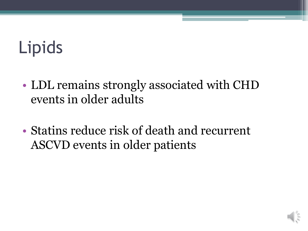# Lipids

- LDL remains strongly associated with CHD events in older adults
- Statins reduce risk of death and recurrent ASCVD events in older patients

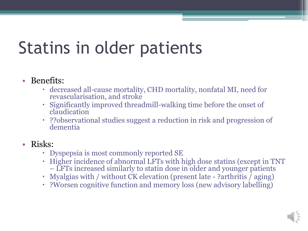### Statins in older patients

### • Benefits:

- decreased all-cause mortality, CHD mortality, nonfatal MI, need for revascularisation, and stroke
- Significantly improved threadmill-walking time before the onset of claudication
- ??observational studies suggest a reduction in risk and progression of dementia

### • Risks:

- Dyspepsia is most commonly reported SE
- Higher incidence of abnormal LFTs with high dose statins (except in TNT – LFTs increased similarly to statin dose in older and younger patients
- Myalgias with / without CK elevation (present late ?arthritis / aging)
- ?Worsen cognitive function and memory loss (new advisory labelling)

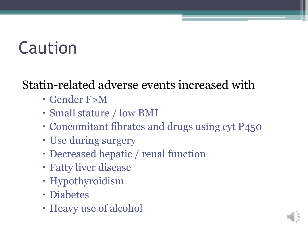## Caution

### Statin-related adverse events increased with

- Gender F>M
- Small stature / low BMI
- Concomitant fibrates and drugs using cyt P450
- Use during surgery
- Decreased hepatic / renal function
- Fatty liver disease
- Hypothyroidism
- Diabetes
- Heavy use of alcohol

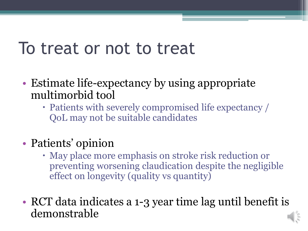### To treat or not to treat

- Estimate life-expectancy by using appropriate multimorbid tool
	- Patients with severely compromised life expectancy / QoL may not be suitable candidates
- Patients' opinion
	- May place more emphasis on stroke risk reduction or preventing worsening claudication despite the negligible effect on longevity (quality vs quantity)
- RCT data indicates a 1-3 year time lag until benefit is demonstrable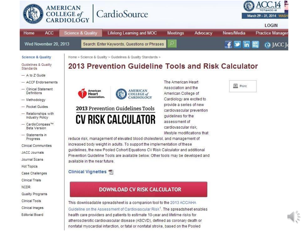

Home





#### **Science & Quality**

ACC

Guidelines & Quality Standards

- $-$  A to Z Guide
- ACCE Endorsements
- Clinical Statement Definitions
- Methodology
- Pocket Guides
- Relationships with **Industry Policy**
- CardioCompass™ **Beta Version**
- $-$  Statements in Progress
- Clinical Communities
- JACC Journals
- Journal Scans
- Hot Topics
- Case Challenges
- Clinical Trials
- **NCDR**
- Quality Programs
- Clinical Tools
- Clinical Images
- **Editorial Board**

### 2013 Prevention Guideline Tools and Risk Calculator



Home > Science & Quality > Guidelines & Quality Standards >

#### 2013 Prevention Guidelines Tools



The American Heart Association and the American College of Cardiology are excited to provide a series of new cardiovascular prevention quidelines for the assessment of cardiovascular risk. lifestyle modifications that

reduce risk, management of elevated blood cholesterol, and management of increased body weight in adults. To support the implementation of these quidelines, the new Pooled Cohort Equations CV Risk Calculator and additional Prevention Guideline Tools are available below. Other tools may be developed and available in the near future.

#### Clinical Vignettes T

#### **DOWNLOAD CV RISK CALCULATOR**

This downloadable spreadsheet is a companion tool to the 2013 ACC/AHA Guideline on the Assessment of Cardiovascular Risk<sup>1</sup>. The spreadsheet enables health care providers and patients to estimate 10-year and lifetime risks for atherosclerotic cardiovascular disease (ASCVD), defined as coronary death or nonfatal myocardial infarction, or fatal or nonfatal stroke, based on the Pooled

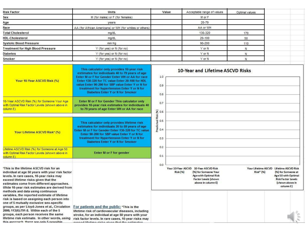| <b>Risk Factor</b>                                                                                                                                                                                                                                                                                                                                                                                                                                                                                                                                                                                                                                    | Units                                                                                                                                                                                                                                                                                                                                       |                                        | Value           | Acceptable range of values                                                                                                                        | Optimal values                      |                                                                                                                                      |
|-------------------------------------------------------------------------------------------------------------------------------------------------------------------------------------------------------------------------------------------------------------------------------------------------------------------------------------------------------------------------------------------------------------------------------------------------------------------------------------------------------------------------------------------------------------------------------------------------------------------------------------------------------|---------------------------------------------------------------------------------------------------------------------------------------------------------------------------------------------------------------------------------------------------------------------------------------------------------------------------------------------|----------------------------------------|-----------------|---------------------------------------------------------------------------------------------------------------------------------------------------|-------------------------------------|--------------------------------------------------------------------------------------------------------------------------------------|
| Sex                                                                                                                                                                                                                                                                                                                                                                                                                                                                                                                                                                                                                                                   | M (for males) or F (for females)                                                                                                                                                                                                                                                                                                            |                                        |                 | M or F                                                                                                                                            |                                     |                                                                                                                                      |
| Age                                                                                                                                                                                                                                                                                                                                                                                                                                                                                                                                                                                                                                                   | years                                                                                                                                                                                                                                                                                                                                       |                                        |                 | 20-79                                                                                                                                             |                                     |                                                                                                                                      |
| Race                                                                                                                                                                                                                                                                                                                                                                                                                                                                                                                                                                                                                                                  | AA (for African Americans) or WH (for whites or others)                                                                                                                                                                                                                                                                                     |                                        |                 | AA or WH                                                                                                                                          |                                     |                                                                                                                                      |
| <b>Total Cholesterol</b>                                                                                                                                                                                                                                                                                                                                                                                                                                                                                                                                                                                                                              | mg/dL                                                                                                                                                                                                                                                                                                                                       |                                        |                 | 130-320                                                                                                                                           | 170                                 |                                                                                                                                      |
| HDL-Cholesterol                                                                                                                                                                                                                                                                                                                                                                                                                                                                                                                                                                                                                                       | mg/dL                                                                                                                                                                                                                                                                                                                                       |                                        |                 | 20-100                                                                                                                                            | 50                                  |                                                                                                                                      |
| <b>Systolic Blood Pressure</b>                                                                                                                                                                                                                                                                                                                                                                                                                                                                                                                                                                                                                        | mm Hg                                                                                                                                                                                                                                                                                                                                       |                                        |                 | 90-200                                                                                                                                            | 110                                 |                                                                                                                                      |
| <b>Treatment for High Blood Pressure</b>                                                                                                                                                                                                                                                                                                                                                                                                                                                                                                                                                                                                              | Y (for yes) or N (for no)                                                                                                                                                                                                                                                                                                                   |                                        |                 | Y or N                                                                                                                                            | N                                   |                                                                                                                                      |
| Diabetes                                                                                                                                                                                                                                                                                                                                                                                                                                                                                                                                                                                                                                              | Y (for yes) or N (for no)                                                                                                                                                                                                                                                                                                                   |                                        |                 | Y or N                                                                                                                                            | N                                   |                                                                                                                                      |
| Smoker                                                                                                                                                                                                                                                                                                                                                                                                                                                                                                                                                                                                                                                | Y (for yes) or N (for no)                                                                                                                                                                                                                                                                                                                   |                                        |                 | Y or N                                                                                                                                            | N                                   |                                                                                                                                      |
| Your 10-Year ASCVD Risk (%)                                                                                                                                                                                                                                                                                                                                                                                                                                                                                                                                                                                                                           | This calculator only provides 10-year risk<br>estimates for individuals 40 to 79 years of age<br>Enter M or F for Gender Enter WH or AA for race<br>Enter 130-320 for TC value Enter 20-100 for HDL<br>value Enter 90-200 for SBP value Enter Y or N for<br>treatment for hypertension Enter Y or N for<br>Diabetes Enter Y or N for Smoker | 1.0<br>0.9<br>0.8                      |                 | 10-Year and Lifetime ASCVD Risks                                                                                                                  |                                     |                                                                                                                                      |
| 10-Year ASCVD Risk (%) for Someone Your Age<br>with Optimal Risk Factor Levels (shown above in<br>column E)                                                                                                                                                                                                                                                                                                                                                                                                                                                                                                                                           | Enter M or F for Gender This calculator only<br>provides 10-year risk estimates for individuals 40<br>to 79 years of age Enter WH or AA for race                                                                                                                                                                                            | 0.7<br>$\overline{\mathcal{E}}$ 0.6    |                 |                                                                                                                                                   |                                     |                                                                                                                                      |
| Your Lifetime ASCVD Risk* (%)<br>Lifetime ASCVD Risk (%) for Someone at Age 50                                                                                                                                                                                                                                                                                                                                                                                                                                                                                                                                                                        | This calculator only provides lifetime risk<br>estimates for individuals 20 to 59 years of age<br>Enter M or F for Gender Enter 130-320 for TC value<br>Enter 90-200 for SBP value Enter Y or N for<br>treatment for Hypertension Enter Y or N for<br><b>Diabetes Enter Y or N for Smoker</b>                                               | Risk<br>Predicted<br>0.4<br>0.3<br>0.2 |                 |                                                                                                                                                   |                                     |                                                                                                                                      |
| with Optimal Risk Factor Levels (shown above in<br>column <sub>E</sub> )                                                                                                                                                                                                                                                                                                                                                                                                                                                                                                                                                                              | Enter M or F for gender                                                                                                                                                                                                                                                                                                                     | 0.1                                    |                 |                                                                                                                                                   |                                     |                                                                                                                                      |
| 'This is the lifetime ASCVD risk for an<br>individual at age 50 years with your risk factor<br>levels. In rare cases, 10-year risks may<br>exceed lifetime risks given that the<br>estimates come from different approaches.<br>While 10-year risk estimates are derived from<br>methods and data using continuous<br>variables, the reported estimate of lifetime<br>risk is based on assigning each person into<br>one of 5 mutually exclusive sex-specific<br>groups, as per Lloyd-Jones et al., Circulation<br>2006; 113(6):791-8. Within each of the 5<br>groups, each person receives the same<br>lifetime risk estimate. In other words, using | For patients and the public: *This is the<br>lifetime risk of cardiovascular diseases, including<br>stroke, for an individual at age 50 years with your<br>risk factor levels. In rare cases, 10-year risks may                                                                                                                             | 0.0                                    | <b>Risk (%)</b> | Your 10-Year ASCVD 10-Year ASCVD Risk<br>(%) for Someone Your<br><b>Agewith Optimal Risk</b><br><b>Factor Levels (shown</b><br>above in column E) | Your Lifetime ASCVD<br>$Risk* (96)$ | <b>Lifetime ASCVD Risk</b><br>(%) for Someone at<br>Age 50 with Optimal<br><b>Risk Factor Levels</b><br>(shown above in<br>column E) |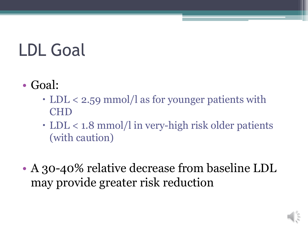# LDL Goal

- Goal:
	- LDL < 2.59 mmol/l as for younger patients with CHD
	- LDL < 1.8 mmol/l in very-high risk older patients (with caution)
- A 30-40% relative decrease from baseline LDL may provide greater risk reduction

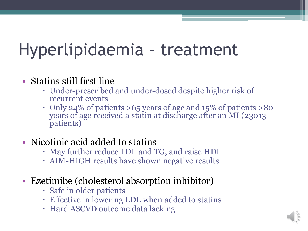### Hyperlipidaemia - treatment

### • Statins still first line

- Under-prescribed and under-dosed despite higher risk of recurrent events
- Only 24% of patients >65 years of age and 15% of patients >80 years of age received a statin at discharge after an MI (23013 patients)
- Nicotinic acid added to statins
	- May further reduce LDL and TG, and raise HDL
	- AIM-HIGH results have shown negative results
- Ezetimibe (cholesterol absorption inhibitor)
	- Safe in older patients
	- Effective in lowering LDL when added to statins
	- Hard ASCVD outcome data lacking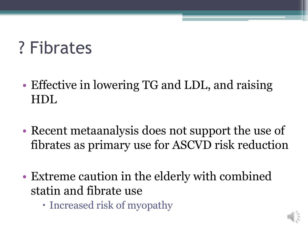### ? Fibrates

- Effective in lowering TG and LDL, and raising HDL
- Recent metaanalysis does not support the use of fibrates as primary use for ASCVD risk reduction
- Extreme caution in the elderly with combined statin and fibrate use
	- Increased risk of myopathy

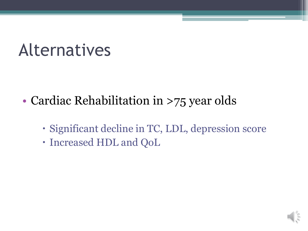### Alternatives

- Cardiac Rehabilitation in >75 year olds
	- Significant decline in TC, LDL, depression score
	- Increased HDL and QoL

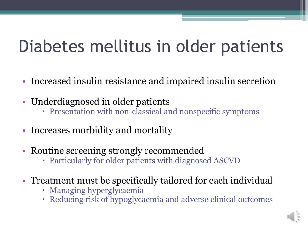### Diabetes mellitus in older patients

- Increased insulin resistance and impaired insulin secretion
- Underdiagnosed in older patients
	- Presentation with non-classical and nonspecific symptoms
- Increases morbidity and mortality
- Routine screening strongly recommended
	- Particularly for older patients with diagnosed ASCVD
- Treatment must be specifically tailored for each individual
	- Managing hyperglycaemia
	- Reducing risk of hypoglycaemia and adverse clinical outcomes

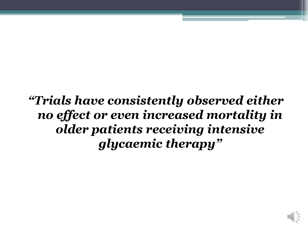*"Trials have consistently observed either no effect or even increased mortality in older patients receiving intensive glycaemic therapy"*

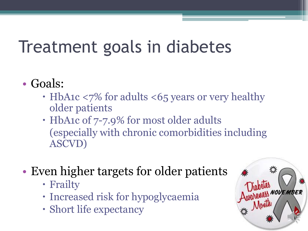### Treatment goals in diabetes

- Goals:
	- HbA1c <7% for adults <65 years or very healthy older patients
	- HbA1c of 7-7.9% for most older adults (especially with chronic comorbidities including ASCVD)
- Even higher targets for older patients
	- Frailty
	- Increased risk for hypoglycaemia
	- Short life expectancy

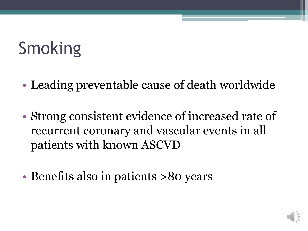# Smoking

- Leading preventable cause of death worldwide
- Strong consistent evidence of increased rate of recurrent coronary and vascular events in all patients with known ASCVD
- Benefits also in patients >80 years

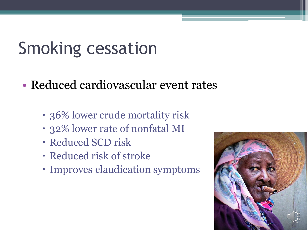### Smoking cessation

- Reduced cardiovascular event rates
	- 36% lower crude mortality risk
	- 32% lower rate of nonfatal MI
	- Reduced SCD risk
	- Reduced risk of stroke
	- Improves claudication symptoms

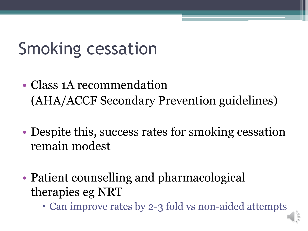## Smoking cessation

- Class 1A recommendation (AHA/ACCF Secondary Prevention guidelines)
- Despite this, success rates for smoking cessation remain modest
- Patient counselling and pharmacological therapies eg NRT
	- Can improve rates by 2-3 fold vs non-aided attempts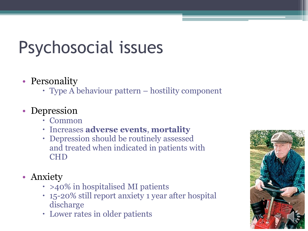# Psychosocial issues

### • Personality

Type A behaviour pattern – hostility component

### • Depression

- Common
- Increases **adverse events**, **mortality**
- Depression should be routinely assessed and treated when indicated in patients with CHD
- Anxiety
	- $\cdot$  >40% in hospitalised MI patients
	- 15-20% still report anxiety 1 year after hospital discharge
	- Lower rates in older patients

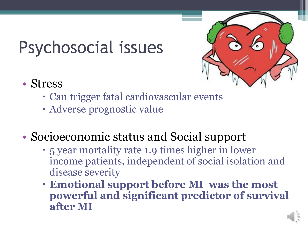## Psychosocial issues



- Stress
	- Can trigger fatal cardiovascular events
	- Adverse prognostic value
- Socioeconomic status and Social support
	- 5 year mortality rate 1.9 times higher in lower income patients, independent of social isolation and disease severity
	- **Emotional support before MI was the most powerful and significant predictor of survival after MI**

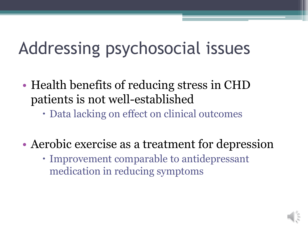## Addressing psychosocial issues

- Health benefits of reducing stress in CHD patients is not well-established
	- Data lacking on effect on clinical outcomes
- Aerobic exercise as a treatment for depression
	- Improvement comparable to antidepressant medication in reducing symptoms

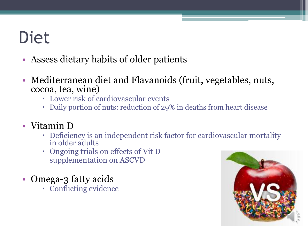### Diet

- Assess dietary habits of older patients
- Mediterranean diet and Flavanoids (fruit, vegetables, nuts, cocoa, tea, wine)
	- Lower risk of cardiovascular events
	- Daily portion of nuts: reduction of 29% in deaths from heart disease
- Vitamin D
	- Deficiency is an independent risk factor for cardiovascular mortality in older adults
	- Ongoing trials on effects of Vit D supplementation on ASCVD
- Omega-3 fatty acids
	- Conflicting evidence

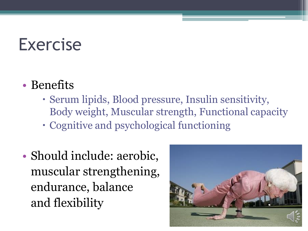### Exercise

- Benefits
	- Serum lipids, Blood pressure, Insulin sensitivity, Body weight, Muscular strength, Functional capacity
	- Cognitive and psychological functioning
- Should include: aerobic, muscular strengthening, endurance, balance and flexibility

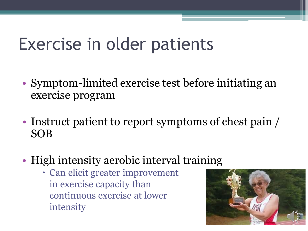### Exercise in older patients

- Symptom-limited exercise test before initiating an exercise program
- Instruct patient to report symptoms of chest pain / SOB
- High intensity aerobic interval training
	- Can elicit greater improvement in exercise capacity than continuous exercise at lower intensity

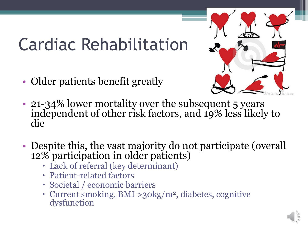## Cardiac Rehabilitation

• Older patients benefit greatly



- 21-34% lower mortality over the subsequent 5 years independent of other risk factors, and 19% less likely to die
- Despite this, the vast majority do not participate (overall 12% participation in older patients)
	- Lack of referral (key determinant)
	- Patient-related factors
	- Societal / economic barriers
	- Current smoking, BMI >30kg/m<sup>2</sup>, diabetes, cognitive dysfunction

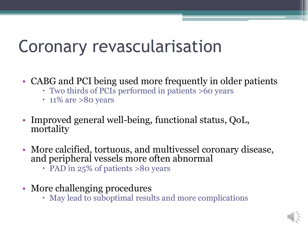### Coronary revascularisation

- CABG and PCI being used more frequently in older patients
	- Two thirds of PCIs performed in patients >60 years
	- $\cdot$  11% are >80 years
- Improved general well-being, functional status, QoL, mortality
- More calcified, tortuous, and multivessel coronary disease, and peripheral vessels more often abnormal
	- PAD in 25% of patients >80 years
- More challenging procedures
	- May lead to suboptimal results and more complications

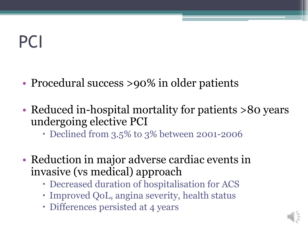## PCI

- Procedural success >90% in older patients
- Reduced in-hospital mortality for patients >80 years undergoing elective PCI
	- Declined from 3.5% to 3% between 2001-2006
- Reduction in major adverse cardiac events in invasive (vs medical) approach
	- Decreased duration of hospitalisation for ACS
	- Improved QoL, angina severity, health status
	- Differences persisted at 4 years

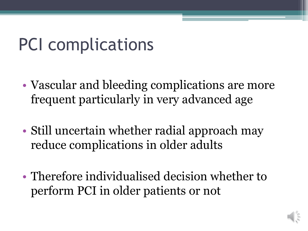### PCI complications

- Vascular and bleeding complications are more frequent particularly in very advanced age
- Still uncertain whether radial approach may reduce complications in older adults
- Therefore individualised decision whether to perform PCI in older patients or not

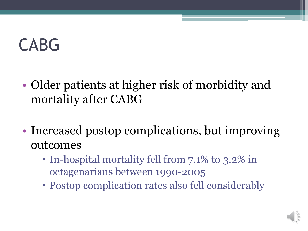### CABG

- Older patients at higher risk of morbidity and mortality after CABG
- Increased postop complications, but improving outcomes
	- In-hospital mortality fell from 7.1% to 3.2% in octagenarians between 1990-2005
	- Postop complication rates also fell considerably

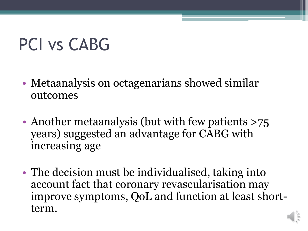## PCI vs CABG

- Metaanalysis on octagenarians showed similar outcomes
- Another metaanalysis (but with few patients >75 years) suggested an advantage for CABG with increasing age
- The decision must be individualised, taking into account fact that coronary revascularisation may improve symptoms, QoL and function at least shortterm.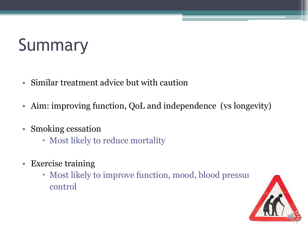# Summary

- Similar treatment advice but with caution
- Aim: improving function, QoL and independence (vs longevity)
- Smoking cessation
	- Most likely to reduce mortality
- Exercise training
	- Most likely to improve function, mood, blood pressure control

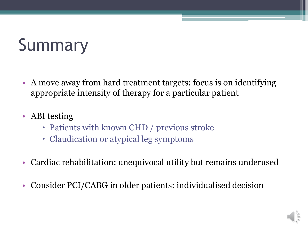# Summary

- A move away from hard treatment targets: focus is on identifying appropriate intensity of therapy for a particular patient
- ABI testing
	- Patients with known CHD / previous stroke
	- Claudication or atypical leg symptoms
- Cardiac rehabilitation: unequivocal utility but remains underused
- Consider PCI/CABG in older patients: individualised decision

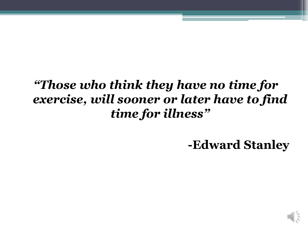### *"Those who think they have no time for exercise, will sooner or later have to find time for illness"*

**-Edward Stanley**